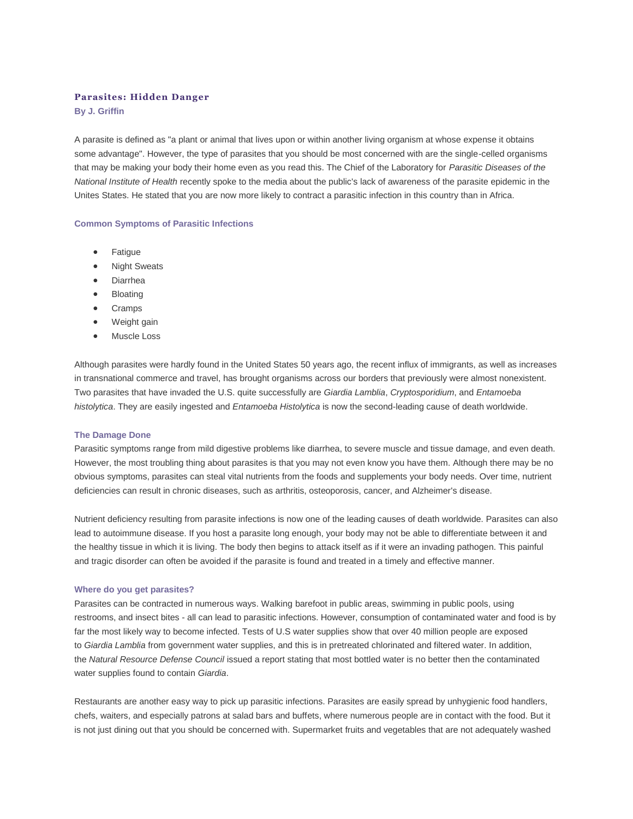# **Parasites: Hidden Danger**

**By J. Griffin**

A parasite is defined as "a plant or animal that lives upon or within another living organism at whose expense it obtains some advantage". However, the type of parasites that you should be most concerned with are the single-celled organisms that may be making your body their home even as you read this. The Chief of the Laboratory for *Parasitic Diseases of the National Institute of Health* recently spoke to the media about the public's lack of awareness of the parasite epidemic in the Unites States. He stated that you are now more likely to contract a parasitic infection in this country than in Africa.

## **Common Symptoms of Parasitic Infections**

- Fatigue
- Night Sweats
- Diarrhea
- Bloating
- Cramps
- Weight gain
- Muscle Loss

Although parasites were hardly found in the United States 50 years ago, the recent influx of immigrants, as well as increases in transnational commerce and travel, has brought organisms across our borders that previously were almost nonexistent. Two parasites that have invaded the U.S. quite successfully are *Giardia Lamblia*, *Cryptosporidium*, and *Entamoeba histolytica*. They are easily ingested and *Entamoeba Histolytica* is now the second-leading cause of death worldwide.

### **The Damage Done**

Parasitic symptoms range from mild digestive problems like diarrhea, to severe muscle and tissue damage, and even death. However, the most troubling thing about parasites is that you may not even know you have them. Although there may be no obvious symptoms, parasites can steal vital nutrients from the foods and supplements your body needs. Over time, nutrient deficiencies can result in chronic diseases, such as arthritis, osteoporosis, cancer, and Alzheimer's disease.

Nutrient deficiency resulting from parasite infections is now one of the leading causes of death worldwide. Parasites can also lead to autoimmune disease. If you host a parasite long enough, your body may not be able to differentiate between it and the healthy tissue in which it is living. The body then begins to attack itself as if it were an invading pathogen. This painful and tragic disorder can often be avoided if the parasite is found and treated in a timely and effective manner.

#### **Where do you get parasites?**

Parasites can be contracted in numerous ways. Walking barefoot in public areas, swimming in public pools, using restrooms, and insect bites - all can lead to parasitic infections. However, consumption of contaminated water and food is by far the most likely way to become infected. Tests of U.S water supplies show that over 40 million people are exposed to *Giardia Lamblia* from government water supplies, and this is in pretreated chlorinated and filtered water. In addition, the *Natural Resource Defense Council* issued a report stating that most bottled water is no better then the contaminated water supplies found to contain *Giardia*.

Restaurants are another easy way to pick up parasitic infections. Parasites are easily spread by unhygienic food handlers, chefs, waiters, and especially patrons at salad bars and buffets, where numerous people are in contact with the food. But it is not just dining out that you should be concerned with. Supermarket fruits and vegetables that are not adequately washed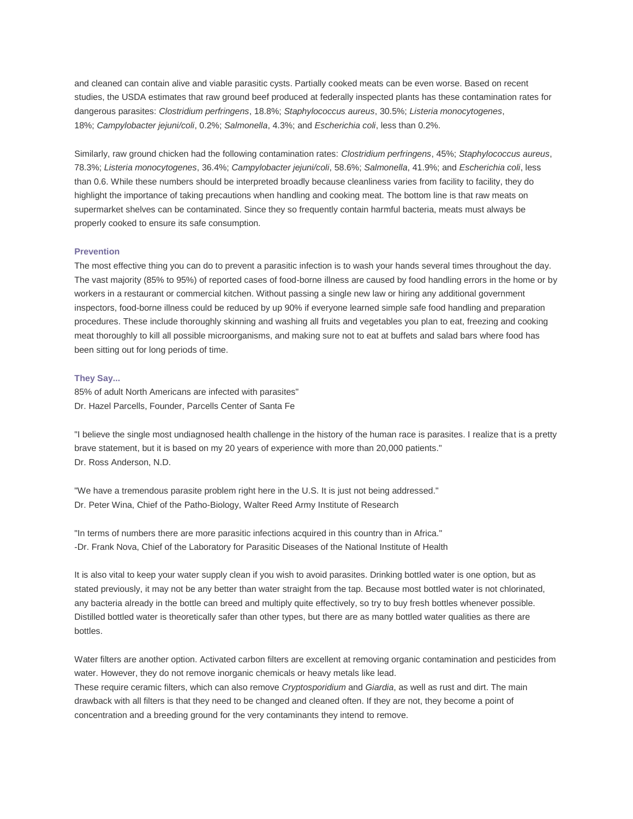and cleaned can contain alive and viable parasitic cysts. Partially cooked meats can be even worse. Based on recent studies, the USDA estimates that raw ground beef produced at federally inspected plants has these contamination rates for dangerous parasites: *Clostridium perfringens*, 18.8%; *Staphylococcus aureus*, 30.5%; *Listeria monocytogenes*, 18%; *Campylobacter jejuni/coli*, 0.2%; *Salmonella*, 4.3%; and *Escherichia coli*, less than 0.2%.

Similarly, raw ground chicken had the following contamination rates: *Clostridium perfringens*, 45%; *Staphylococcus aureus*, 78.3%; *Listeria monocytogenes*, 36.4%; *Campylobacter jejuni/coli*, 58.6%; *Salmonella*, 41.9%; and *Escherichia coli*, less than 0.6. While these numbers should be interpreted broadly because cleanliness varies from facility to facility, they do highlight the importance of taking precautions when handling and cooking meat. The bottom line is that raw meats on supermarket shelves can be contaminated. Since they so frequently contain harmful bacteria, meats must always be properly cooked to ensure its safe consumption.

## **Prevention**

The most effective thing you can do to prevent a parasitic infection is to wash your hands several times throughout the day. The vast majority (85% to 95%) of reported cases of food-borne illness are caused by food handling errors in the home or by workers in a restaurant or commercial kitchen. Without passing a single new law or hiring any additional government inspectors, food-borne illness could be reduced by up 90% if everyone learned simple safe food handling and preparation procedures. These include thoroughly skinning and washing all fruits and vegetables you plan to eat, freezing and cooking meat thoroughly to kill all possible microorganisms, and making sure not to eat at buffets and salad bars where food has been sitting out for long periods of time.

### **They Say...**

85% of adult North Americans are infected with parasites" Dr. Hazel Parcells, Founder, Parcells Center of Santa Fe

"I believe the single most undiagnosed health challenge in the history of the human race is parasites. I realize that is a pretty brave statement, but it is based on my 20 years of experience with more than 20,000 patients." Dr. Ross Anderson, N.D.

"We have a tremendous parasite problem right here in the U.S. It is just not being addressed." Dr. Peter Wina, Chief of the Patho-Biology, Walter Reed Army Institute of Research

"In terms of numbers there are more parasitic infections acquired in this country than in Africa." -Dr. Frank Nova, Chief of the Laboratory for Parasitic Diseases of the National Institute of Health

It is also vital to keep your water supply clean if you wish to avoid parasites. Drinking bottled water is one option, but as stated previously, it may not be any better than water straight from the tap. Because most bottled water is not chlorinated, any bacteria already in the bottle can breed and multiply quite effectively, so try to buy fresh bottles whenever possible. Distilled bottled water is theoretically safer than other types, but there are as many bottled water qualities as there are bottles.

Water filters are another option. Activated carbon filters are excellent at removing organic contamination and pesticides from water. However, they do not remove inorganic chemicals or heavy metals like lead.

These require ceramic filters, which can also remove *Cryptosporidium* and *Giardia*, as well as rust and dirt. The main drawback with all filters is that they need to be changed and cleaned often. If they are not, they become a point of concentration and a breeding ground for the very contaminants they intend to remove.